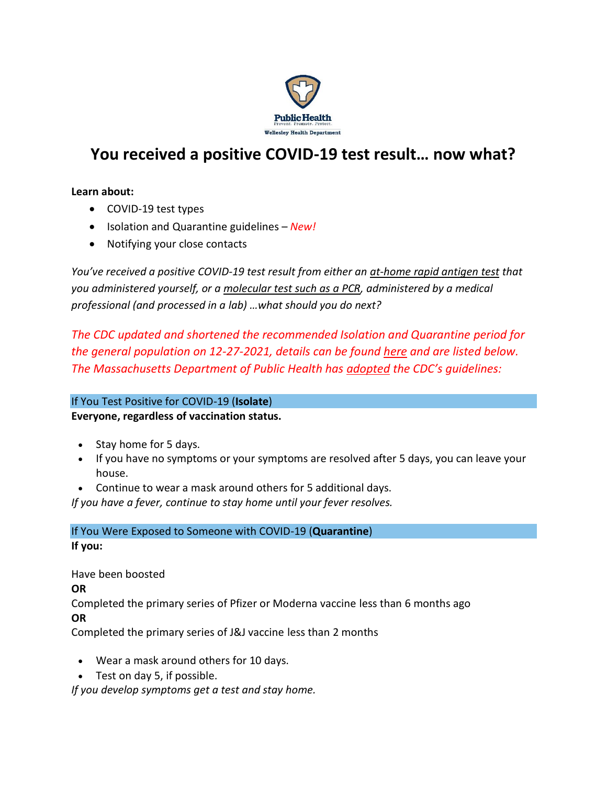

# **You received a positive COVID-19 test result… now what?**

#### **Learn about:**

- COVID-19 test types
- Isolation and Quarantine guidelines *New!*
- Notifying your close contacts

*You've received a positive COVID-19 test result from either an [at-home rapid antigen test](https://www.nytimes.com/wirecutter/blog/at-home-covid-antigen-tests/) that you administered yourself, or a [molecular test such as a PCR,](https://www.umassmed.edu/news/news-archives/2021/11/whats-the-difference-between-a-pcr-and-antigen-covid-19-test/) administered by a medical professional (and processed in a lab) …what should you do next?*

*The CDC updated and shortened the recommended Isolation and Quarantine period for the general population on 12-27-2021, details can be found [here](https://www.cdc.gov/media/releases/2021/s1227-isolation-quarantine-guidance.html) and are listed below. The Massachusetts Department of Public Health has [adopted](https://www.mass.gov/info-details/what-to-do-if-you-have-covid-19-or-have-been-exposed-to-covid-19) the CDC's guidelines:*

## If You Test Positive for COVID-19 (**Isolate**)

## **Everyone, regardless of vaccination status.**

- Stay home for 5 days.
- If you have no symptoms or your symptoms are resolved after 5 days, you can leave your house.
- Continue to wear a mask around others for 5 additional days.

*If you have a fever, continue to stay home until your fever resolves.*

If You Were Exposed to Someone with COVID-19 (**Quarantine**) **If you:**

Have been boosted **OR** Completed the primary series of Pfizer or Moderna vaccine less than 6 months ago **OR**

Completed the primary series of J&J vaccine less than 2 months

- Wear a mask around others for 10 days.
- Test on day 5, if possible.

*If you develop symptoms get a test and stay home.*